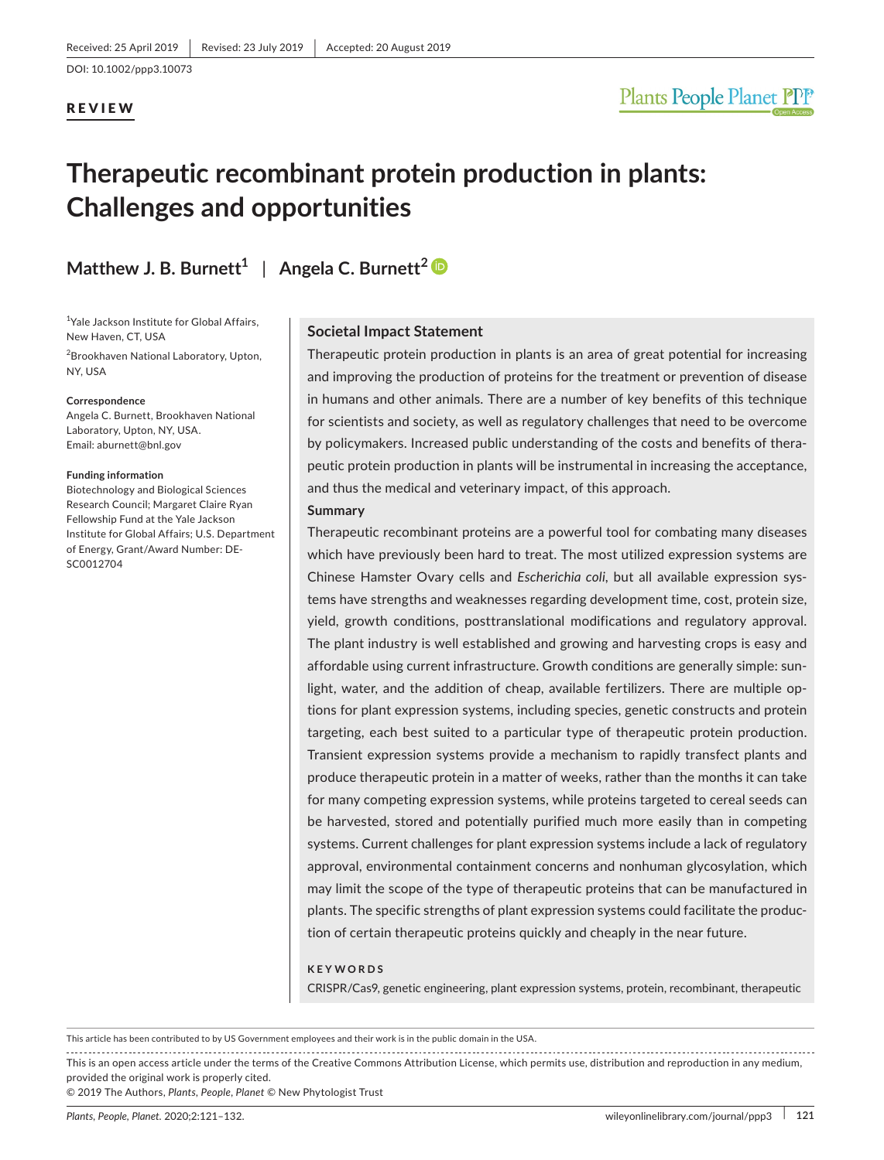DOI: 10.1002/ppp3.10073

#### REVIEW

# Plants People Planet PPP

# **Therapeutic recombinant protein production in plants: Challenges and opportunities**

**Matthew J. B. Burnett<sup>1</sup> | Angela C. Burnett<sup>[2](https://orcid.org/0000-0002-2678-9842)</sup>** 

<sup>1</sup>Yale Jackson Institute for Global Affairs, New Haven, CT, USA

2 Brookhaven National Laboratory, Upton, NY, USA

#### **Correspondence**

Angela C. Burnett, Brookhaven National Laboratory, Upton, NY, USA. Email: [aburnett@bnl.gov](mailto:aburnett@bnl.gov)

#### **Funding information**

Biotechnology and Biological Sciences Research Council; Margaret Claire Ryan Fellowship Fund at the Yale Jackson Institute for Global Affairs; U.S. Department of Energy, Grant/Award Number: DE‐ SC0012704

#### **Societal Impact Statement**

Therapeutic protein production in plants is an area of great potential for increasing and improving the production of proteins for the treatment or prevention of disease in humans and other animals. There are a number of key benefits of this technique for scientists and society, as well as regulatory challenges that need to be overcome by policymakers. Increased public understanding of the costs and benefits of thera‐ peutic protein production in plants will be instrumental in increasing the acceptance, and thus the medical and veterinary impact, of this approach.

#### **Summary**

Therapeutic recombinant proteins are a powerful tool for combating many diseases which have previously been hard to treat. The most utilized expression systems are Chinese Hamster Ovary cells and *Escherichia coli*, but all available expression sys‐ tems have strengths and weaknesses regarding development time, cost, protein size, yield, growth conditions, posttranslational modifications and regulatory approval. The plant industry is well established and growing and harvesting crops is easy and affordable using current infrastructure. Growth conditions are generally simple: sun‐ light, water, and the addition of cheap, available fertilizers. There are multiple op‐ tions for plant expression systems, including species, genetic constructs and protein targeting, each best suited to a particular type of therapeutic protein production. Transient expression systems provide a mechanism to rapidly transfect plants and produce therapeutic protein in a matter of weeks, rather than the months it can take for many competing expression systems, while proteins targeted to cereal seeds can be harvested, stored and potentially purified much more easily than in competing systems. Current challenges for plant expression systems include a lack of regulatory approval, environmental containment concerns and nonhuman glycosylation, which may limit the scope of the type of therapeutic proteins that can be manufactured in plants. The specific strengths of plant expression systems could facilitate the produc‐ tion of certain therapeutic proteins quickly and cheaply in the near future.

#### **KEYWORDS**

CRISPR/Cas9, genetic engineering, plant expression systems, protein, recombinant, therapeutic

© 2019 The Authors, *Plants, People, Planet* © New Phytologist Trust

This article has been contributed to by US Government employees and their work is in the public domain in the USA.

This is an open access article under the terms of the Creative Commons [Attribution](http://creativecommons.org/licenses/by/4.0/) License, which permits use, distribution and reproduction in any medium, provided the original work is properly cited.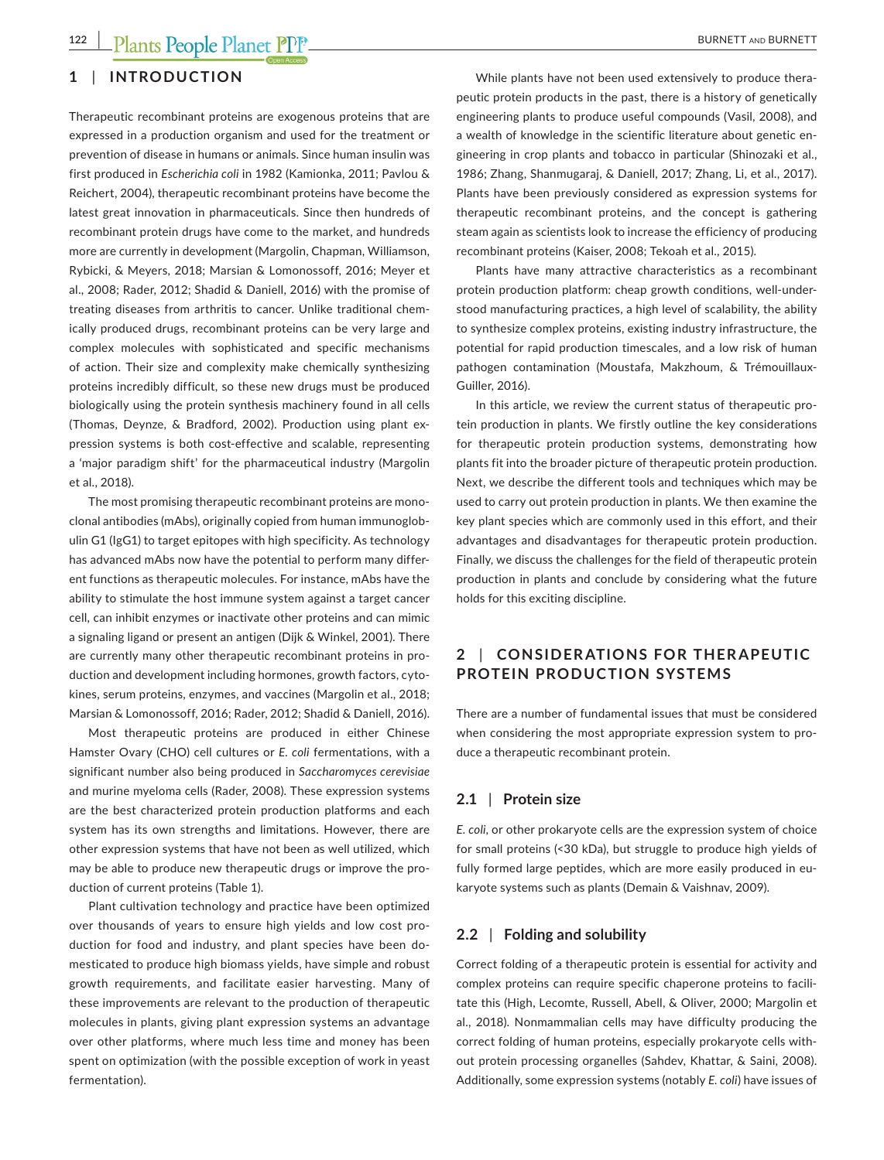#### **1** | **INTRODUCTION**

Therapeutic recombinant proteins are exogenous proteins that are expressed in a production organism and used for the treatment or prevention of disease in humans or animals. Since human insulin was first produced in *Escherichia coli* in 1982 (Kamionka, 2011; Pavlou & Reichert, 2004), therapeutic recombinant proteins have become the latest great innovation in pharmaceuticals. Since then hundreds of recombinant protein drugs have come to the market, and hundreds more are currently in development (Margolin, Chapman, Williamson, Rybicki, & Meyers, 2018; Marsian & Lomonossoff, 2016; Meyer et al., 2008; Rader, 2012; Shadid & Daniell, 2016) with the promise of treating diseases from arthritis to cancer. Unlike traditional chem‐ ically produced drugs, recombinant proteins can be very large and complex molecules with sophisticated and specific mechanisms of action. Their size and complexity make chemically synthesizing proteins incredibly difficult, so these new drugs must be produced biologically using the protein synthesis machinery found in all cells (Thomas, Deynze, & Bradford, 2002). Production using plant ex‐ pression systems is both cost-effective and scalable, representing a 'major paradigm shift' for the pharmaceutical industry (Margolin et al., 2018).

The most promising therapeutic recombinant proteins are mono‐ clonal antibodies (mAbs), originally copied from human immunoglob‐ ulin G1 (IgG1) to target epitopes with high specificity. As technology has advanced mAbs now have the potential to perform many differ‐ ent functions as therapeutic molecules. For instance, mAbs have the ability to stimulate the host immune system against a target cancer cell, can inhibit enzymes or inactivate other proteins and can mimic a signaling ligand or present an antigen (Dijk & Winkel, 2001). There are currently many other therapeutic recombinant proteins in pro‐ duction and development including hormones, growth factors, cytokines, serum proteins, enzymes, and vaccines (Margolin et al., 2018; Marsian & Lomonossoff, 2016; Rader, 2012; Shadid & Daniell, 2016).

Most therapeutic proteins are produced in either Chinese Hamster Ovary (CHO) cell cultures or *E. coli* fermentations, with a significant number also being produced in *Saccharomyces cerevisiae* and murine myeloma cells (Rader, 2008). These expression systems are the best characterized protein production platforms and each system has its own strengths and limitations. However, there are other expression systems that have not been as well utilized, which may be able to produce new therapeutic drugs or improve the production of current proteins (Table 1).

Plant cultivation technology and practice have been optimized over thousands of years to ensure high yields and low cost pro‐ duction for food and industry, and plant species have been domesticated to produce high biomass yields, have simple and robust growth requirements, and facilitate easier harvesting. Many of these improvements are relevant to the production of therapeutic molecules in plants, giving plant expression systems an advantage over other platforms, where much less time and money has been spent on optimization (with the possible exception of work in yeast fermentation).

While plants have not been used extensively to produce therapeutic protein products in the past, there is a history of genetically engineering plants to produce useful compounds (Vasil, 2008), and a wealth of knowledge in the scientific literature about genetic en‐ gineering in crop plants and tobacco in particular (Shinozaki et al., 1986; Zhang, Shanmugaraj, & Daniell, 2017; Zhang, Li, et al., 2017). Plants have been previously considered as expression systems for therapeutic recombinant proteins, and the concept is gathering steam again as scientists look to increase the efficiency of producing recombinant proteins (Kaiser, 2008; Tekoah et al., 2015).

Plants have many attractive characteristics as a recombinant protein production platform: cheap growth conditions, well-understood manufacturing practices, a high level of scalability, the ability to synthesize complex proteins, existing industry infrastructure, the potential for rapid production timescales, and a low risk of human pathogen contamination (Moustafa, Makzhoum, & Trémouillaux‐ Guiller, 2016).

In this article, we review the current status of therapeutic pro‐ tein production in plants. We firstly outline the key considerations for therapeutic protein production systems, demonstrating how plants fit into the broader picture of therapeutic protein production. Next, we describe the different tools and techniques which may be used to carry out protein production in plants. We then examine the key plant species which are commonly used in this effort, and their advantages and disadvantages for therapeutic protein production. Finally, we discuss the challenges for the field of therapeutic protein production in plants and conclude by considering what the future holds for this exciting discipline.

#### **2** | **CONSIDER ATIONS FOR THER APEUTIC PROTEIN PRODUCTION SYSTEMS**

There are a number of fundamental issues that must be considered when considering the most appropriate expression system to produce a therapeutic recombinant protein.

#### **2.1** | **Protein size**

*E. coli*, or other prokaryote cells are the expression system of choice for small proteins (<30 kDa), but struggle to produce high yields of fully formed large peptides, which are more easily produced in eukaryote systems such as plants (Demain & Vaishnav, 2009).

#### **2.2** | **Folding and solubility**

Correct folding of a therapeutic protein is essential for activity and complex proteins can require specific chaperone proteins to facili‐ tate this (High, Lecomte, Russell, Abell, & Oliver, 2000; Margolin et al., 2018). Nonmammalian cells may have difficulty producing the correct folding of human proteins, especially prokaryote cells with‐ out protein processing organelles (Sahdev, Khattar, & Saini, 2008). Additionally, some expression systems (notably *E. coli*) have issues of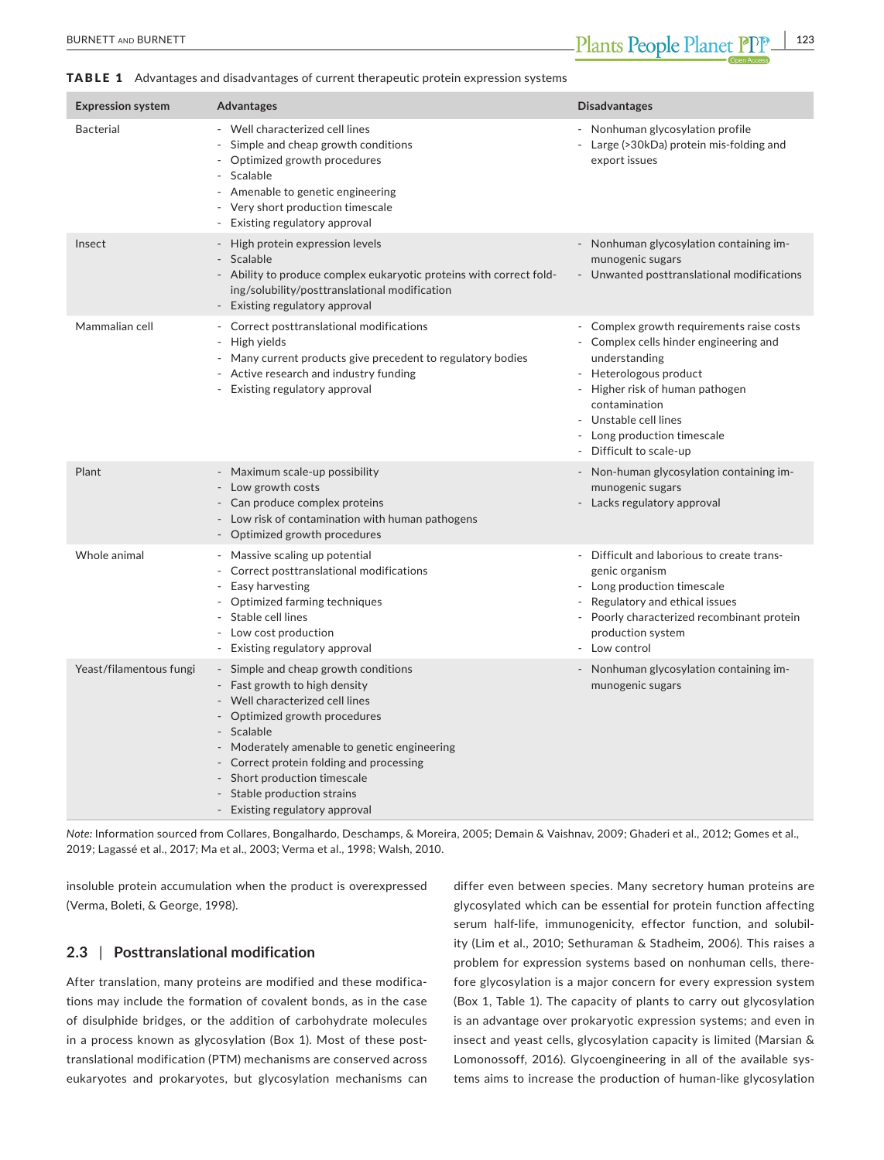#### TABLE 1 Advantages and disadvantages of current therapeutic protein expression systems

| <b>Expression system</b> | <b>Advantages</b>                                                                                                                                                                                                                                                                                                                                    | <b>Disadvantages</b>                                                                                                                                                                                                                                                              |
|--------------------------|------------------------------------------------------------------------------------------------------------------------------------------------------------------------------------------------------------------------------------------------------------------------------------------------------------------------------------------------------|-----------------------------------------------------------------------------------------------------------------------------------------------------------------------------------------------------------------------------------------------------------------------------------|
| <b>Bacterial</b>         | - Well characterized cell lines<br>Simple and cheap growth conditions<br>- Optimized growth procedures<br>Scalable<br>- Amenable to genetic engineering<br>- Very short production timescale<br>- Existing regulatory approval                                                                                                                       | - Nonhuman glycosylation profile<br>Large (>30kDa) protein mis-folding and<br>export issues                                                                                                                                                                                       |
| Insect                   | - High protein expression levels<br>- Scalable<br>- Ability to produce complex eukaryotic proteins with correct fold-<br>ing/solubility/posttranslational modification<br>- Existing regulatory approval                                                                                                                                             | Nonhuman glycosylation containing im-<br>munogenic sugars<br>- Unwanted posttranslational modifications                                                                                                                                                                           |
| Mammalian cell           | - Correct posttranslational modifications<br>- High yields<br>- Many current products give precedent to regulatory bodies<br>- Active research and industry funding<br>- Existing regulatory approval                                                                                                                                                | - Complex growth requirements raise costs<br>Complex cells hinder engineering and<br>understanding<br>- Heterologous product<br>Higher risk of human pathogen<br>$\blacksquare$<br>contamination<br>Unstable cell lines<br>- Long production timescale<br>- Difficult to scale-up |
| Plant                    | - Maximum scale-up possibility<br>- Low growth costs<br>- Can produce complex proteins<br>- Low risk of contamination with human pathogens<br>- Optimized growth procedures                                                                                                                                                                          | - Non-human glycosylation containing im-<br>munogenic sugars<br>Lacks regulatory approval                                                                                                                                                                                         |
| Whole animal             | - Massive scaling up potential<br>- Correct posttranslational modifications<br>Easy harvesting<br>- Optimized farming techniques<br>Stable cell lines<br>- Low cost production<br>- Existing regulatory approval                                                                                                                                     | Difficult and laborious to create trans-<br>genic organism<br>Long production timescale<br>Regulatory and ethical issues<br>Poorly characterized recombinant protein<br>production system<br>Low control                                                                          |
| Yeast/filamentous fungi  | - Simple and cheap growth conditions<br>- Fast growth to high density<br>- Well characterized cell lines<br>- Optimized growth procedures<br>- Scalable<br>- Moderately amenable to genetic engineering<br>- Correct protein folding and processing<br>- Short production timescale<br>- Stable production strains<br>- Existing regulatory approval | Nonhuman glycosylation containing im-<br>munogenic sugars                                                                                                                                                                                                                         |

*Note:* Information sourced from Collares, Bongalhardo, Deschamps, & Moreira, 2005; Demain & Vaishnav, 2009; Ghaderi et al., 2012; Gomes et al., 2019; Lagassé et al., 2017; Ma et al., 2003; Verma et al., 1998; Walsh, 2010.

insoluble protein accumulation when the product is overexpressed (Verma, Boleti, & George, 1998).

#### **2.3** | **Posttranslational modification**

After translation, many proteins are modified and these modifica‐ tions may include the formation of covalent bonds, as in the case of disulphide bridges, or the addition of carbohydrate molecules in a process known as glycosylation (Box 1). Most of these posttranslational modification (PTM) mechanisms are conserved across eukaryotes and prokaryotes, but glycosylation mechanisms can

differ even between species. Many secretory human proteins are glycosylated which can be essential for protein function affecting serum half-life, immunogenicity, effector function, and solubility (Lim et al., 2010; Sethuraman & Stadheim, 2006). This raises a problem for expression systems based on nonhuman cells, there‐ fore glycosylation is a major concern for every expression system (Box 1, Table 1). The capacity of plants to carry out glycosylation is an advantage over prokaryotic expression systems; and even in insect and yeast cells, glycosylation capacity is limited (Marsian & Lomonossoff, 2016). Glycoengineering in all of the available systems aims to increase the production of human‐like glycosylation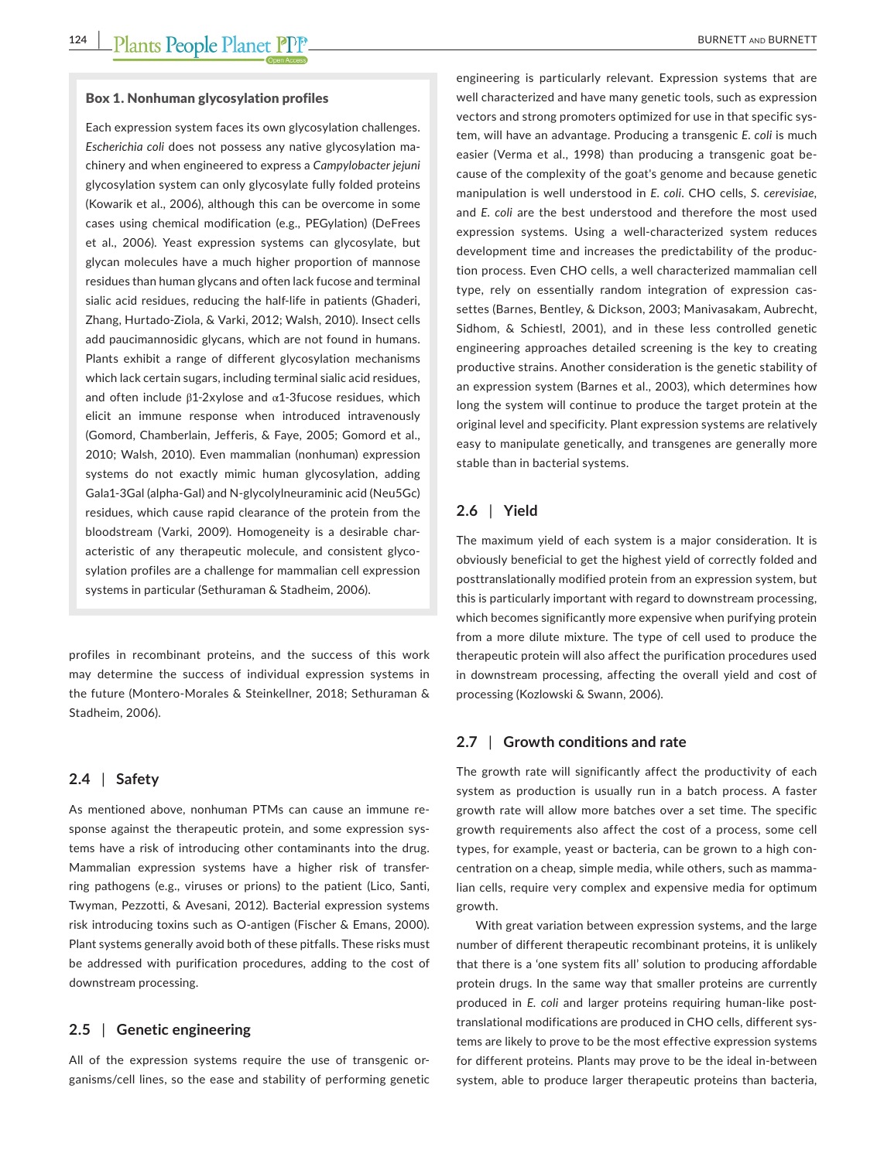#### Box 1. Nonhuman glycosylation profiles

Each expression system faces its own glycosylation challenges. *Escherichia coli* does not possess any native glycosylation ma‐ chinery and when engineered to express a *Campylobacter jejuni* glycosylation system can only glycosylate fully folded proteins (Kowarik et al., 2006), although this can be overcome in some cases using chemical modification (e.g., PEGylation) (DeFrees et al., 2006). Yeast expression systems can glycosylate, but glycan molecules have a much higher proportion of mannose residues than human glycans and often lack fucose and terminal sialic acid residues, reducing the half‐life in patients (Ghaderi, Zhang, Hurtado‐Ziola, & Varki, 2012; Walsh, 2010). Insect cells add paucimannosidic glycans, which are not found in humans. Plants exhibit a range of different glycosylation mechanisms which lack certain sugars, including terminal sialic acid residues, and often include  $\beta$ 1-2xylose and  $\alpha$ 1-3fucose residues, which elicit an immune response when introduced intravenously (Gomord, Chamberlain, Jefferis, & Faye, 2005; Gomord et al., 2010; Walsh, 2010). Even mammalian (nonhuman) expression systems do not exactly mimic human glycosylation, adding Gala1‐3Gal (alpha‐Gal) and N‐glycolylneuraminic acid (Neu5Gc) residues, which cause rapid clearance of the protein from the bloodstream (Varki, 2009). Homogeneity is a desirable char‐ acteristic of any therapeutic molecule, and consistent glyco‐ sylation profiles are a challenge for mammalian cell expression systems in particular (Sethuraman & Stadheim, 2006).

profiles in recombinant proteins, and the success of this work may determine the success of individual expression systems in the future (Montero‐Morales & Steinkellner, 2018; Sethuraman & Stadheim, 2006).

#### **2.4** | **Safety**

As mentioned above, nonhuman PTMs can cause an immune re‐ sponse against the therapeutic protein, and some expression systems have a risk of introducing other contaminants into the drug. Mammalian expression systems have a higher risk of transfer‐ ring pathogens (e.g., viruses or prions) to the patient (Lico, Santi, Twyman, Pezzotti, & Avesani, 2012). Bacterial expression systems risk introducing toxins such as O‐antigen (Fischer & Emans, 2000). Plant systems generally avoid both of these pitfalls. These risks must be addressed with purification procedures, adding to the cost of downstream processing.

#### **2.5** | **Genetic engineering**

All of the expression systems require the use of transgenic organisms/cell lines, so the ease and stability of performing genetic

engineering is particularly relevant. Expression systems that are well characterized and have many genetic tools, such as expression vectors and strong promoters optimized for use in that specific sys‐ tem, will have an advantage. Producing a transgenic *E. coli* is much easier (Verma et al., 1998) than producing a transgenic goat be‐ cause of the complexity of the goat's genome and because genetic manipulation is well understood in *E. coli*. CHO cells, *S. cerevisiae,* and *E. coli* are the best understood and therefore the most used expression systems. Using a well-characterized system reduces development time and increases the predictability of the produc‐ tion process. Even CHO cells, a well characterized mammalian cell type, rely on essentially random integration of expression cas‐ settes (Barnes, Bentley, & Dickson, 2003; Manivasakam, Aubrecht, Sidhom, & Schiestl, 2001), and in these less controlled genetic engineering approaches detailed screening is the key to creating productive strains. Another consideration is the genetic stability of an expression system (Barnes et al., 2003), which determines how long the system will continue to produce the target protein at the original level and specificity. Plant expression systems are relatively easy to manipulate genetically, and transgenes are generally more stable than in bacterial systems.

#### **2.6** | **Yield**

The maximum yield of each system is a major consideration. It is obviously beneficial to get the highest yield of correctly folded and posttranslationally modified protein from an expression system, but this is particularly important with regard to downstream processing, which becomes significantly more expensive when purifying protein from a more dilute mixture. The type of cell used to produce the therapeutic protein will also affect the purification procedures used in downstream processing, affecting the overall yield and cost of processing (Kozlowski & Swann, 2006).

#### **2.7** | **Growth conditions and rate**

The growth rate will significantly affect the productivity of each system as production is usually run in a batch process. A faster growth rate will allow more batches over a set time. The specific growth requirements also affect the cost of a process, some cell types, for example, yeast or bacteria, can be grown to a high con‐ centration on a cheap, simple media, while others, such as mamma‐ lian cells, require very complex and expensive media for optimum growth.

With great variation between expression systems, and the large number of different therapeutic recombinant proteins, it is unlikely that there is a 'one system fits all' solution to producing affordable protein drugs. In the same way that smaller proteins are currently produced in *E. coli* and larger proteins requiring human-like posttranslational modifications are produced in CHO cells, different sys‐ tems are likely to prove to be the most effective expression systems for different proteins. Plants may prove to be the ideal in‐between system, able to produce larger therapeutic proteins than bacteria,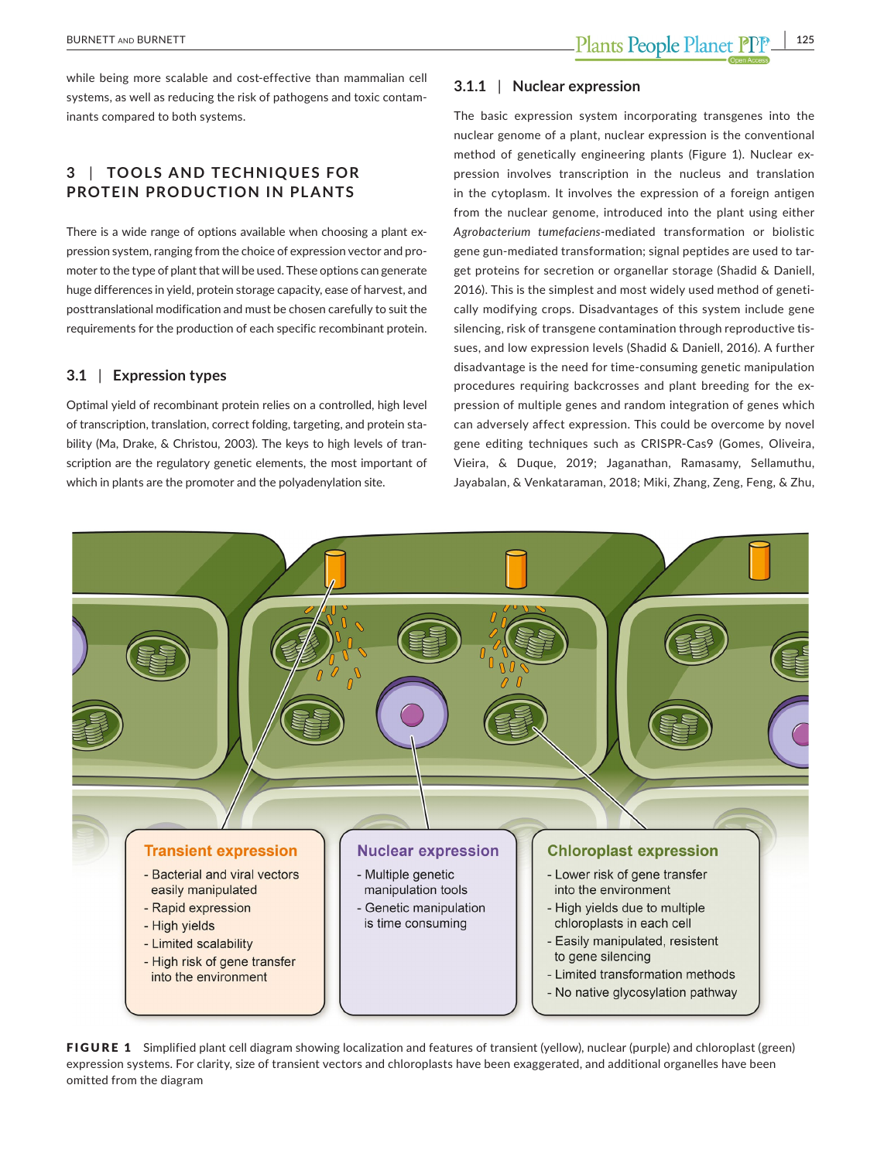while being more scalable and cost-effective than mammalian cell systems, as well as reducing the risk of pathogens and toxic contam‐ inants compared to both systems.

#### **3** | **TOOL S AND TECHNIQUES FOR PROTEIN PRODUCTION IN PLANTS**

There is a wide range of options available when choosing a plant expression system, ranging from the choice of expression vector and pro‐ moter to the type of plant that will be used. These options can generate huge differences in yield, protein storage capacity, ease of harvest, and posttranslational modification and must be chosen carefully to suit the requirements for the production of each specific recombinant protein.

#### **3.1** | **Expression types**

Optimal yield of recombinant protein relies on a controlled, high level of transcription, translation, correct folding, targeting, and protein sta‐ bility (Ma, Drake, & Christou, 2003). The keys to high levels of tran‐ scription are the regulatory genetic elements, the most important of which in plants are the promoter and the polyadenylation site.

#### **3.1.1** | **Nuclear expression**

The basic expression system incorporating transgenes into the nuclear genome of a plant, nuclear expression is the conventional method of genetically engineering plants (Figure 1). Nuclear expression involves transcription in the nucleus and translation in the cytoplasm. It involves the expression of a foreign antigen from the nuclear genome, introduced into the plant using either *Agrobacterium tumefaciens*‐mediated transformation or biolistic gene gun‐mediated transformation; signal peptides are used to tar‐ get proteins for secretion or organellar storage (Shadid & Daniell, 2016). This is the simplest and most widely used method of geneti‐ cally modifying crops. Disadvantages of this system include gene silencing, risk of transgene contamination through reproductive tissues, and low expression levels (Shadid & Daniell, 2016). A further disadvantage is the need for time‐consuming genetic manipulation procedures requiring backcrosses and plant breeding for the expression of multiple genes and random integration of genes which can adversely affect expression. This could be overcome by novel gene editing techniques such as CRISPR‐Cas9 (Gomes, Oliveira, Vieira, & Duque, 2019; Jaganathan, Ramasamy, Sellamuthu, Jayabalan, & Venkataraman, 2018; Miki, Zhang, Zeng, Feng, & Zhu,



FIGURE 1 Simplified plant cell diagram showing localization and features of transient (yellow), nuclear (purple) and chloroplast (green) expression systems. For clarity, size of transient vectors and chloroplasts have been exaggerated, and additional organelles have been omitted from the diagram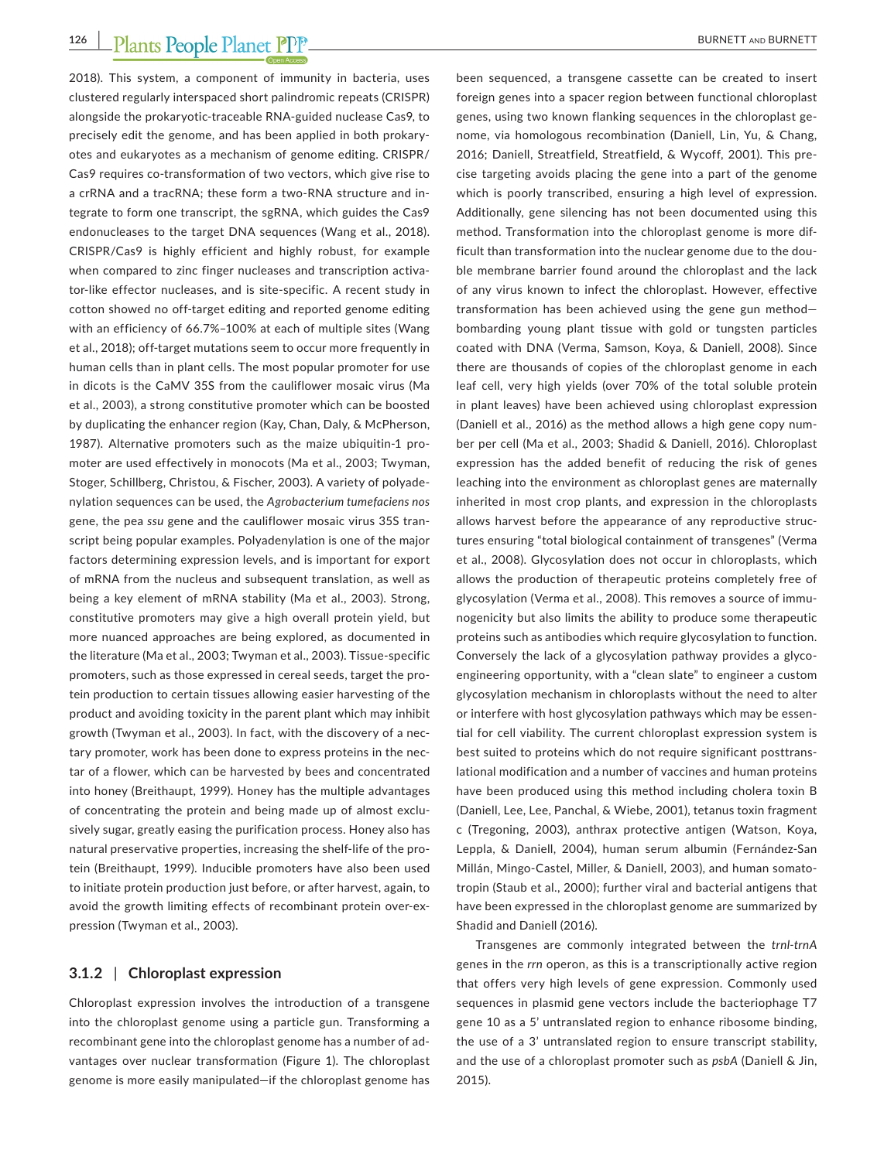2018). This system, a component of immunity in bacteria, uses clustered regularly interspaced short palindromic repeats (CRISPR) alongside the prokaryotic‐traceable RNA‐guided nuclease Cas9, to precisely edit the genome, and has been applied in both prokary‐ otes and eukaryotes as a mechanism of genome editing. CRISPR/ Cas9 requires co-transformation of two vectors, which give rise to a crRNA and a tracRNA; these form a two‐RNA structure and in‐ tegrate to form one transcript, the sgRNA, which guides the Cas9 endonucleases to the target DNA sequences (Wang et al., 2018). CRISPR/Cas9 is highly efficient and highly robust, for example when compared to zinc finger nucleases and transcription activator‐like effector nucleases, and is site‐specific. A recent study in cotton showed no off-target editing and reported genome editing with an efficiency of 66.7%–100% at each of multiple sites (Wang et al., 2018); off-target mutations seem to occur more frequently in human cells than in plant cells. The most popular promoter for use in dicots is the CaMV 35S from the cauliflower mosaic virus (Ma et al., 2003), a strong constitutive promoter which can be boosted by duplicating the enhancer region (Kay, Chan, Daly, & McPherson, 1987). Alternative promoters such as the maize ubiquitin‐1 pro‐ moter are used effectively in monocots (Ma et al., 2003; Twyman, Stoger, Schillberg, Christou, & Fischer, 2003). A variety of polyade‐ nylation sequences can be used, the *Agrobacterium tumefaciens nos* gene, the pea *ssu* gene and the cauliflower mosaic virus 35S tran‐ script being popular examples. Polyadenylation is one of the major factors determining expression levels, and is important for export of mRNA from the nucleus and subsequent translation, as well as being a key element of mRNA stability (Ma et al., 2003). Strong, constitutive promoters may give a high overall protein yield, but more nuanced approaches are being explored, as documented in the literature (Ma et al., 2003; Twyman et al., 2003). Tissue‐specific promoters, such as those expressed in cereal seeds, target the pro‐ tein production to certain tissues allowing easier harvesting of the product and avoiding toxicity in the parent plant which may inhibit growth (Twyman et al., 2003). In fact, with the discovery of a nec‐ tary promoter, work has been done to express proteins in the nec‐ tar of a flower, which can be harvested by bees and concentrated into honey (Breithaupt, 1999). Honey has the multiple advantages of concentrating the protein and being made up of almost exclu‐ sively sugar, greatly easing the purification process. Honey also has natural preservative properties, increasing the shelf‐life of the pro‐ tein (Breithaupt, 1999). Inducible promoters have also been used to initiate protein production just before, or after harvest, again, to avoid the growth limiting effects of recombinant protein over‐ex‐ pression (Twyman et al., 2003).

#### **3.1.2** | **Chloroplast expression**

Chloroplast expression involves the introduction of a transgene into the chloroplast genome using a particle gun. Transforming a recombinant gene into the chloroplast genome has a number of ad‐ vantages over nuclear transformation (Figure 1). The chloroplast genome is more easily manipulated—if the chloroplast genome has been sequenced, a transgene cassette can be created to insert foreign genes into a spacer region between functional chloroplast genes, using two known flanking sequences in the chloroplast ge‐ nome, via homologous recombination (Daniell, Lin, Yu, & Chang, 2016; Daniell, Streatfield, Streatfield, & Wycoff, 2001). This pre‐ cise targeting avoids placing the gene into a part of the genome which is poorly transcribed, ensuring a high level of expression. Additionally, gene silencing has not been documented using this method. Transformation into the chloroplast genome is more dif‐ ficult than transformation into the nuclear genome due to the dou‐ ble membrane barrier found around the chloroplast and the lack of any virus known to infect the chloroplast. However, effective transformation has been achieved using the gene gun method bombarding young plant tissue with gold or tungsten particles coated with DNA (Verma, Samson, Koya, & Daniell, 2008). Since there are thousands of copies of the chloroplast genome in each leaf cell, very high yields (over 70% of the total soluble protein in plant leaves) have been achieved using chloroplast expression (Daniell et al., 2016) as the method allows a high gene copy num‐ ber per cell (Ma et al., 2003; Shadid & Daniell, 2016). Chloroplast expression has the added benefit of reducing the risk of genes leaching into the environment as chloroplast genes are maternally inherited in most crop plants, and expression in the chloroplasts allows harvest before the appearance of any reproductive struc‐ tures ensuring "total biological containment of transgenes" (Verma et al., 2008). Glycosylation does not occur in chloroplasts, which allows the production of therapeutic proteins completely free of glycosylation (Verma et al., 2008). This removes a source of immu‐ nogenicity but also limits the ability to produce some therapeutic proteins such as antibodies which require glycosylation to function. Conversely the lack of a glycosylation pathway provides a glyco‐ engineering opportunity, with a "clean slate" to engineer a custom glycosylation mechanism in chloroplasts without the need to alter or interfere with host glycosylation pathways which may be essen‐ tial for cell viability. The current chloroplast expression system is best suited to proteins which do not require significant posttrans‐ lational modification and a number of vaccines and human proteins have been produced using this method including cholera toxin B (Daniell, Lee, Lee, Panchal, & Wiebe, 2001), tetanus toxin fragment c (Tregoning, 2003), anthrax protective antigen (Watson, Koya, Leppla, & Daniell, 2004), human serum albumin (Fernández‐San Millán, Mingo‐Castel, Miller, & Daniell, 2003), and human somato‐ tropin (Staub et al., 2000); further viral and bacterial antigens that have been expressed in the chloroplast genome are summarized by Shadid and Daniell (2016).

Transgenes are commonly integrated between the *trnl‐trnA* genes in the *rrn* operon, as this is a transcriptionally active region that offers very high levels of gene expression. Commonly used sequences in plasmid gene vectors include the bacteriophage T7 gene 10 as a 5' untranslated region to enhance ribosome binding, the use of a 3' untranslated region to ensure transcript stability, and the use of a chloroplast promoter such as *psbA* (Daniell & Jin, 2015).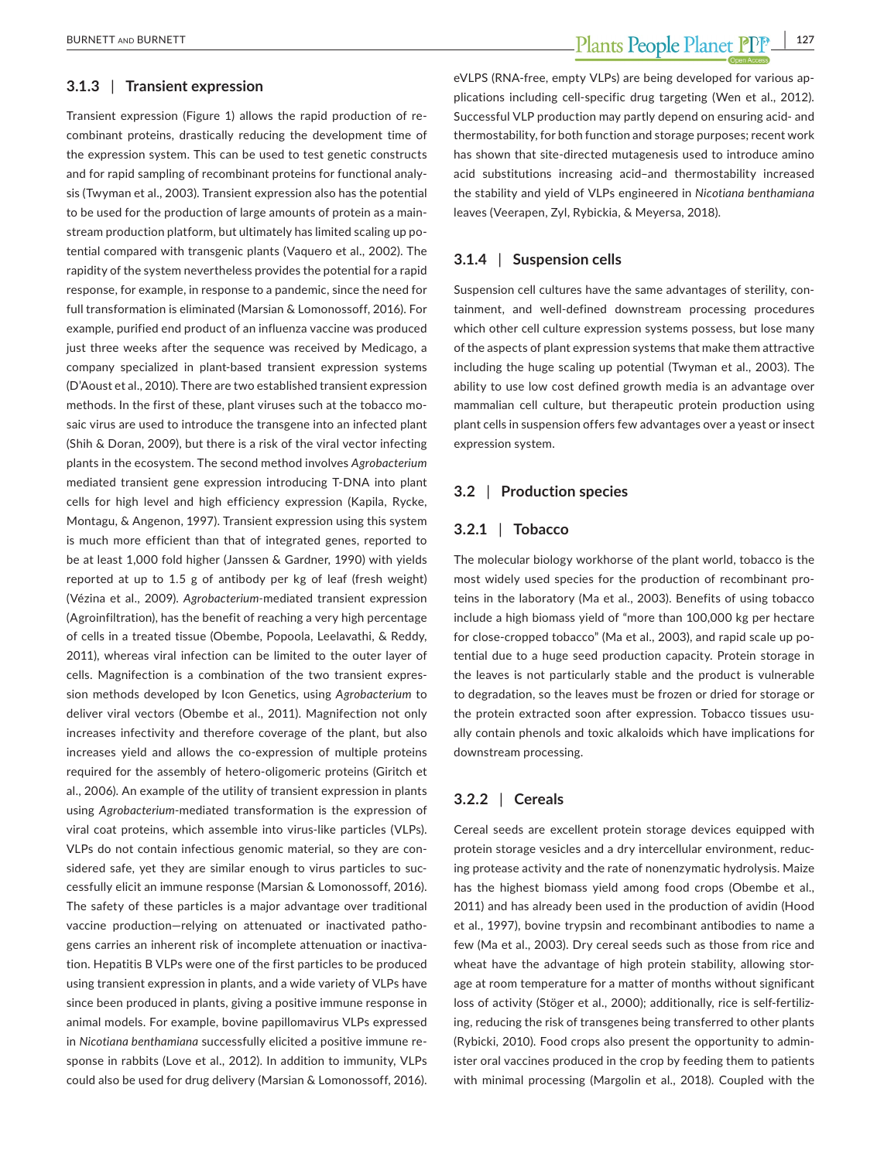#### **3.1.3** | **Transient expression**

Transient expression (Figure 1) allows the rapid production of re‐ combinant proteins, drastically reducing the development time of the expression system. This can be used to test genetic constructs and for rapid sampling of recombinant proteins for functional analy‐ sis (Twyman et al., 2003). Transient expression also has the potential to be used for the production of large amounts of protein as a main‐ stream production platform, but ultimately has limited scaling up po‐ tential compared with transgenic plants (Vaquero et al., 2002). The rapidity of the system nevertheless provides the potential for a rapid response, for example, in response to a pandemic, since the need for full transformation is eliminated (Marsian & Lomonossoff, 2016). For example, purified end product of an influenza vaccine was produced just three weeks after the sequence was received by Medicago, a company specialized in plant‐based transient expression systems (D'Aoust et al., 2010). There are two established transient expression methods. In the first of these, plant viruses such at the tobacco mo‐ saic virus are used to introduce the transgene into an infected plant (Shih & Doran, 2009), but there is a risk of the viral vector infecting plants in the ecosystem. The second method involves *Agrobacterium* mediated transient gene expression introducing T‐DNA into plant cells for high level and high efficiency expression (Kapila, Rycke, Montagu, & Angenon, 1997). Transient expression using this system is much more efficient than that of integrated genes, reported to be at least 1,000 fold higher (Janssen & Gardner, 1990) with yields reported at up to 1.5 g of antibody per kg of leaf (fresh weight) (Vézina et al., 2009). *Agrobacterium‐*mediated transient expression (Agroinfiltration), has the benefit of reaching a very high percentage of cells in a treated tissue (Obembe, Popoola, Leelavathi, & Reddy, 2011), whereas viral infection can be limited to the outer layer of cells. Magnifection is a combination of the two transient expres‐ sion methods developed by Icon Genetics, using *Agrobacterium* to deliver viral vectors (Obembe et al., 2011). Magnifection not only increases infectivity and therefore coverage of the plant, but also increases yield and allows the co-expression of multiple proteins required for the assembly of hetero-oligomeric proteins (Giritch et al., 2006). An example of the utility of transient expression in plants using *Agrobacterium*‐mediated transformation is the expression of viral coat proteins, which assemble into virus‐like particles (VLPs). VLPs do not contain infectious genomic material, so they are con‐ sidered safe, yet they are similar enough to virus particles to suc‐ cessfully elicit an immune response (Marsian & Lomonossoff, 2016). The safety of these particles is a major advantage over traditional vaccine production-relying on attenuated or inactivated pathogens carries an inherent risk of incomplete attenuation or inactiva‐ tion. Hepatitis B VLPs were one of the first particles to be produced using transient expression in plants, and a wide variety of VLPs have since been produced in plants, giving a positive immune response in animal models. For example, bovine papillomavirus VLPs expressed in *Nicotiana benthamiana* successfully elicited a positive immune re‐ sponse in rabbits (Love et al., 2012). In addition to immunity, VLPs could also be used for drug delivery (Marsian & Lomonossoff, 2016).

 **BURNETT AND BURNETT 127** 

eVLPS (RNA‐free, empty VLPs) are being developed for various ap‐ plications including cell‐specific drug targeting (Wen et al., 2012). Successful VLP production may partly depend on ensuring acid‐ and thermostability, for both function and storage purposes; recent work has shown that site-directed mutagenesis used to introduce amino acid substitutions increasing acid–and thermostability increased the stability and yield of VLPs engineered in *Nicotiana benthamiana* leaves (Veerapen, Zyl, Rybickia, & Meyersa, 2018).

#### **3.1.4** | **Suspension cells**

Suspension cell cultures have the same advantages of sterility, containment, and well‐defined downstream processing procedures which other cell culture expression systems possess, but lose many of the aspects of plant expression systems that make them attractive including the huge scaling up potential (Twyman et al., 2003). The ability to use low cost defined growth media is an advantage over mammalian cell culture, but therapeutic protein production using plant cells in suspension offers few advantages over a yeast or insect expression system.

#### **3.2** | **Production species**

#### **3.2.1** | **Tobacco**

The molecular biology workhorse of the plant world, tobacco is the most widely used species for the production of recombinant pro‐ teins in the laboratory (Ma et al., 2003). Benefits of using tobacco include a high biomass yield of "more than 100,000 kg per hectare for close-cropped tobacco" (Ma et al., 2003), and rapid scale up potential due to a huge seed production capacity. Protein storage in the leaves is not particularly stable and the product is vulnerable to degradation, so the leaves must be frozen or dried for storage or the protein extracted soon after expression. Tobacco tissues usually contain phenols and toxic alkaloids which have implications for downstream processing.

#### **3.2.2** | **Cereals**

Cereal seeds are excellent protein storage devices equipped with protein storage vesicles and a dry intercellular environment, reducing protease activity and the rate of nonenzymatic hydrolysis. Maize has the highest biomass yield among food crops (Obembe et al., 2011) and has already been used in the production of avidin (Hood et al., 1997), bovine trypsin and recombinant antibodies to name a few (Ma et al., 2003). Dry cereal seeds such as those from rice and wheat have the advantage of high protein stability, allowing storage at room temperature for a matter of months without significant loss of activity (Stöger et al., 2000); additionally, rice is self-fertilizing, reducing the risk of transgenes being transferred to other plants (Rybicki, 2010). Food crops also present the opportunity to admin‐ ister oral vaccines produced in the crop by feeding them to patients with minimal processing (Margolin et al., 2018). Coupled with the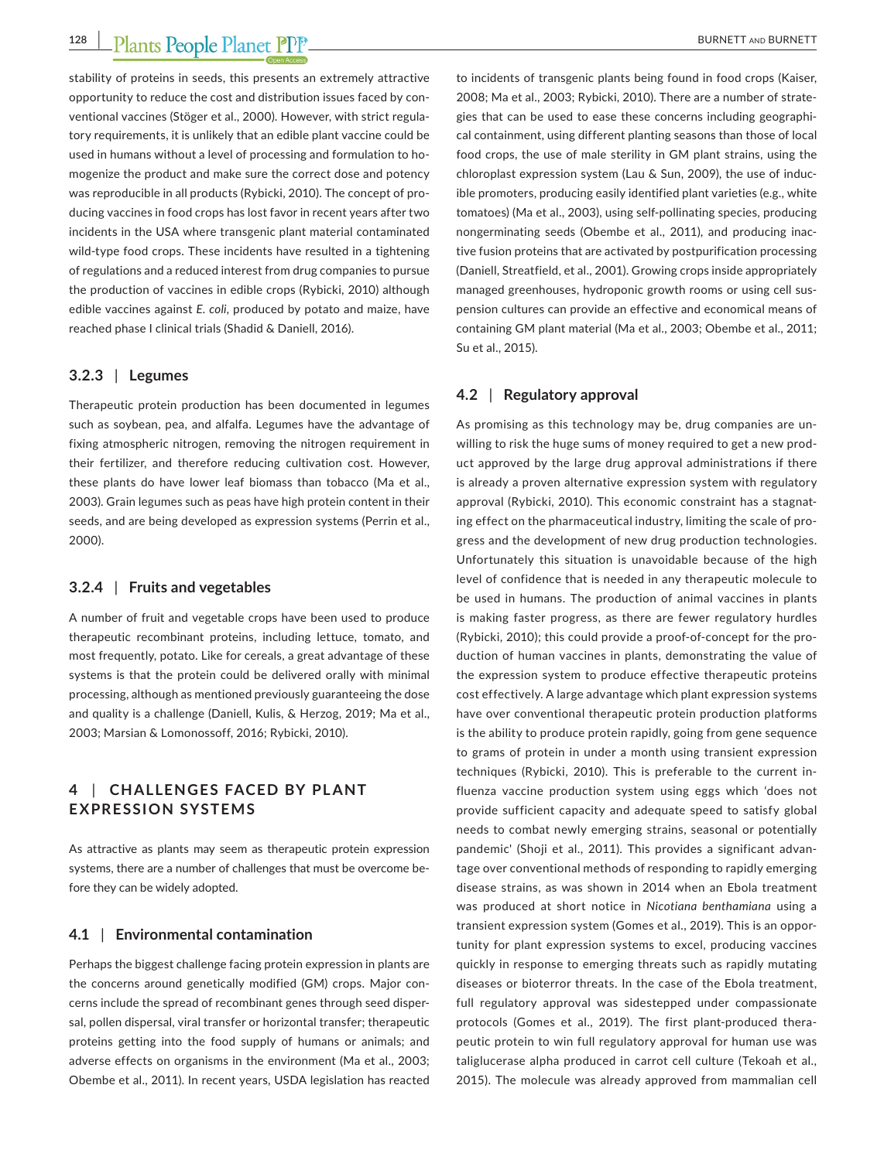stability of proteins in seeds, this presents an extremely attractive opportunity to reduce the cost and distribution issues faced by con‐ ventional vaccines (Stöger et al., 2000). However, with strict regula‐ tory requirements, it is unlikely that an edible plant vaccine could be used in humans without a level of processing and formulation to homogenize the product and make sure the correct dose and potency was reproducible in all products (Rybicki, 2010). The concept of producing vaccines in food crops has lost favor in recent years after two incidents in the USA where transgenic plant material contaminated wild-type food crops. These incidents have resulted in a tightening of regulations and a reduced interest from drug companies to pursue the production of vaccines in edible crops (Rybicki, 2010) although edible vaccines against *E. coli*, produced by potato and maize, have reached phase I clinical trials (Shadid & Daniell, 2016).

#### **3.2.3** | **Legumes**

Therapeutic protein production has been documented in legumes such as soybean, pea, and alfalfa. Legumes have the advantage of fixing atmospheric nitrogen, removing the nitrogen requirement in their fertilizer, and therefore reducing cultivation cost. However, these plants do have lower leaf biomass than tobacco (Ma et al., 2003). Grain legumes such as peas have high protein content in their seeds, and are being developed as expression systems (Perrin et al., 2000).

#### **3.2.4** | **Fruits and vegetables**

A number of fruit and vegetable crops have been used to produce therapeutic recombinant proteins, including lettuce, tomato, and most frequently, potato. Like for cereals, a great advantage of these systems is that the protein could be delivered orally with minimal processing, although as mentioned previously guaranteeing the dose and quality is a challenge (Daniell, Kulis, & Herzog, 2019; Ma et al., 2003; Marsian & Lomonossoff, 2016; Rybicki, 2010).

#### **4** | CHALLENGES FACED BY PLANT **EXPRESSION SYSTEMS**

As attractive as plants may seem as therapeutic protein expression systems, there are a number of challenges that must be overcome be‐ fore they can be widely adopted.

#### **4.1** | **Environmental contamination**

Perhaps the biggest challenge facing protein expression in plants are the concerns around genetically modified (GM) crops. Major con‐ cerns include the spread of recombinant genes through seed disper‐ sal, pollen dispersal, viral transfer or horizontal transfer; therapeutic proteins getting into the food supply of humans or animals; and adverse effects on organisms in the environment (Ma et al., 2003; Obembe et al., 2011). In recent years, USDA legislation has reacted

to incidents of transgenic plants being found in food crops (Kaiser, 2008; Ma et al., 2003; Rybicki, 2010). There are a number of strate‐ gies that can be used to ease these concerns including geographi‐ cal containment, using different planting seasons than those of local food crops, the use of male sterility in GM plant strains, using the chloroplast expression system (Lau & Sun, 2009), the use of induc‐ ible promoters, producing easily identified plant varieties (e.g., white tomatoes) (Ma et al., 2003), using self‐pollinating species, producing nongerminating seeds (Obembe et al., 2011), and producing inac‐ tive fusion proteins that are activated by postpurification processing (Daniell, Streatfield, et al., 2001). Growing crops inside appropriately managed greenhouses, hydroponic growth rooms or using cell sus‐ pension cultures can provide an effective and economical means of containing GM plant material (Ma et al., 2003; Obembe et al., 2011; Su et al., 2015).

#### **4.2** | **Regulatory approval**

As promising as this technology may be, drug companies are un‐ willing to risk the huge sums of money required to get a new prod‐ uct approved by the large drug approval administrations if there is already a proven alternative expression system with regulatory approval (Rybicki, 2010). This economic constraint has a stagnat‐ ing effect on the pharmaceutical industry, limiting the scale of pro‐ gress and the development of new drug production technologies. Unfortunately this situation is unavoidable because of the high level of confidence that is needed in any therapeutic molecule to be used in humans. The production of animal vaccines in plants is making faster progress, as there are fewer regulatory hurdles (Rybicki, 2010); this could provide a proof‐of‐concept for the pro‐ duction of human vaccines in plants, demonstrating the value of the expression system to produce effective therapeutic proteins cost effectively. A large advantage which plant expression systems have over conventional therapeutic protein production platforms is the ability to produce protein rapidly, going from gene sequence to grams of protein in under a month using transient expression techniques (Rybicki, 2010). This is preferable to the current in‐ fluenza vaccine production system using eggs which 'does not provide sufficient capacity and adequate speed to satisfy global needs to combat newly emerging strains, seasonal or potentially pandemic' (Shoji et al., 2011). This provides a significant advan‐ tage over conventional methods of responding to rapidly emerging disease strains, as was shown in 2014 when an Ebola treatment was produced at short notice in *Nicotiana benthamiana* using a transient expression system (Gomes et al., 2019). This is an oppor‐ tunity for plant expression systems to excel, producing vaccines quickly in response to emerging threats such as rapidly mutating diseases or bioterror threats. In the case of the Ebola treatment, full regulatory approval was sidestepped under compassionate protocols (Gomes et al., 2019). The first plant‐produced thera‐ peutic protein to win full regulatory approval for human use was taliglucerase alpha produced in carrot cell culture (Tekoah et al., 2015). The molecule was already approved from mammalian cell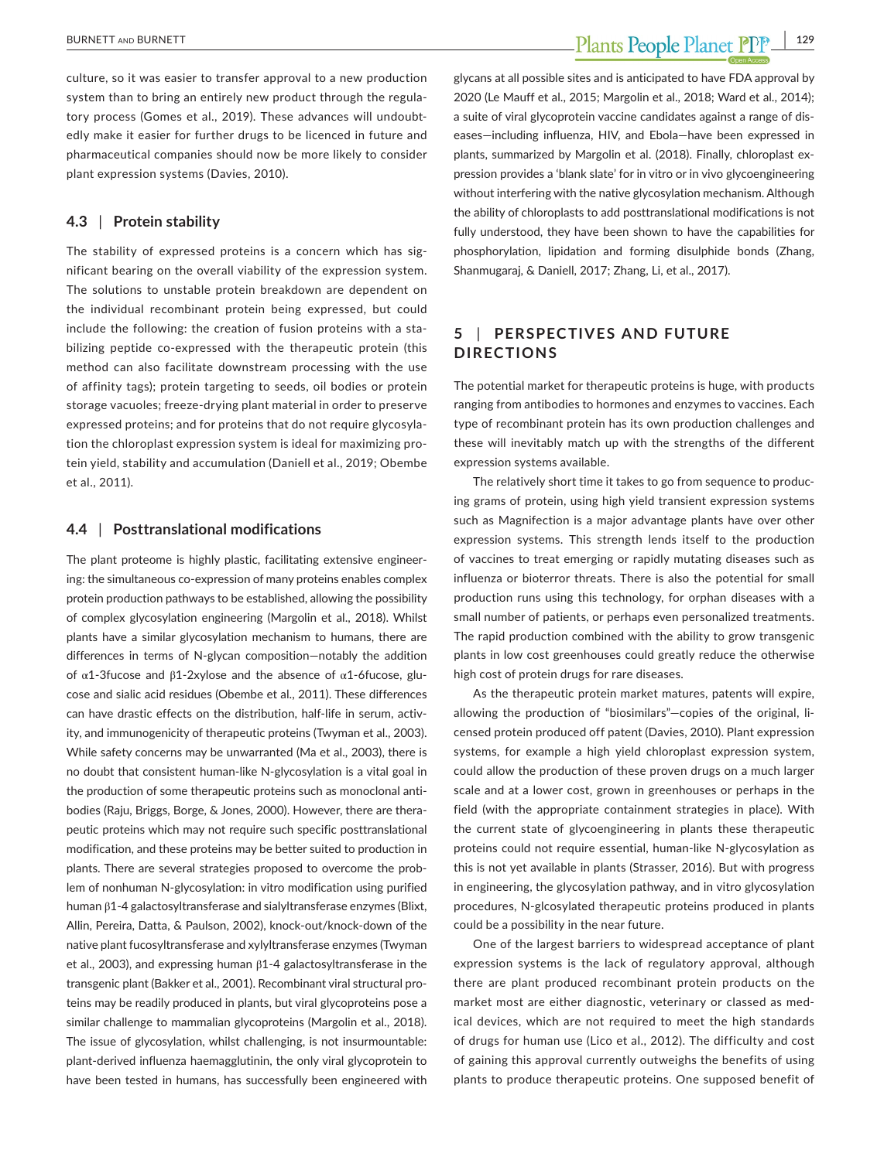culture, so it was easier to transfer approval to a new production system than to bring an entirely new product through the regula‐ tory process (Gomes et al., 2019). These advances will undoubtedly make it easier for further drugs to be licenced in future and pharmaceutical companies should now be more likely to consider plant expression systems (Davies, 2010).

#### **4.3** | **Protein stability**

The stability of expressed proteins is a concern which has significant bearing on the overall viability of the expression system. The solutions to unstable protein breakdown are dependent on the individual recombinant protein being expressed, but could include the following: the creation of fusion proteins with a stabilizing peptide co-expressed with the therapeutic protein (this method can also facilitate downstream processing with the use of affinity tags); protein targeting to seeds, oil bodies or protein storage vacuoles; freeze‐drying plant material in order to preserve expressed proteins; and for proteins that do not require glycosyla‐ tion the chloroplast expression system is ideal for maximizing pro‐ tein yield, stability and accumulation (Daniell et al., 2019; Obembe et al., 2011).

#### **4.4** | **Posttranslational modifications**

The plant proteome is highly plastic, facilitating extensive engineer‐ ing: the simultaneous co-expression of many proteins enables complex protein production pathways to be established, allowing the possibility of complex glycosylation engineering (Margolin et al., 2018). Whilst plants have a similar glycosylation mechanism to humans, there are differences in terms of N‐glycan composition—notably the addition of  $α1-3$  fucose and  $β1-2xy$  lose and the absence of  $α1-6$  fucose, glucose and sialic acid residues (Obembe et al., 2011). These differences can have drastic effects on the distribution, half-life in serum, activity, and immunogenicity of therapeutic proteins (Twyman et al., 2003). While safety concerns may be unwarranted (Ma et al., 2003), there is no doubt that consistent human‐like N‐glycosylation is a vital goal in the production of some therapeutic proteins such as monoclonal anti‐ bodies (Raju, Briggs, Borge, & Jones, 2000). However, there are thera‐ peutic proteins which may not require such specific posttranslational modification, and these proteins may be better suited to production in plants. There are several strategies proposed to overcome the prob‐ lem of nonhuman N‐glycosylation: in vitro modification using purified human β1‐4 galactosyltransferase and sialyltransferase enzymes (Blixt, Allin, Pereira, Datta, & Paulson, 2002), knock‐out/knock‐down of the native plant fucosyltransferase and xylyltransferase enzymes (Twyman et al., 2003), and expressing human  $β1-4$  galactosyltransferase in the transgenic plant (Bakker et al., 2001). Recombinant viral structural pro‐ teins may be readily produced in plants, but viral glycoproteins pose a similar challenge to mammalian glycoproteins (Margolin et al., 2018). The issue of glycosylation, whilst challenging, is not insurmountable: plant‐derived influenza haemagglutinin, the only viral glycoprotein to have been tested in humans, has successfully been engineered with

glycans at all possible sites and is anticipated to have FDA approval by 2020 (Le Mauff et al., 2015; Margolin et al., 2018; Ward et al., 2014); a suite of viral glycoprotein vaccine candidates against a range of dis‐ eases—including influenza, HIV, and Ebola—have been expressed in plants, summarized by Margolin et al. (2018). Finally, chloroplast ex‐ pression provides a 'blank slate' for in vitro or in vivo glycoengineering without interfering with the native glycosylation mechanism. Although the ability of chloroplasts to add posttranslational modifications is not fully understood, they have been shown to have the capabilities for phosphorylation, lipidation and forming disulphide bonds (Zhang, Shanmugaraj, & Daniell, 2017; Zhang, Li, et al., 2017).

### **5** | **PERSPEC TIVES AND FUTURE DIRECTIONS**

The potential market for therapeutic proteins is huge, with products ranging from antibodies to hormones and enzymes to vaccines. Each type of recombinant protein has its own production challenges and these will inevitably match up with the strengths of the different expression systems available.

The relatively short time it takes to go from sequence to produc‐ ing grams of protein, using high yield transient expression systems such as Magnifection is a major advantage plants have over other expression systems. This strength lends itself to the production of vaccines to treat emerging or rapidly mutating diseases such as influenza or bioterror threats. There is also the potential for small production runs using this technology, for orphan diseases with a small number of patients, or perhaps even personalized treatments. The rapid production combined with the ability to grow transgenic plants in low cost greenhouses could greatly reduce the otherwise high cost of protein drugs for rare diseases.

As the therapeutic protein market matures, patents will expire, allowing the production of "biosimilars"-copies of the original, licensed protein produced off patent (Davies, 2010). Plant expression systems, for example a high yield chloroplast expression system, could allow the production of these proven drugs on a much larger scale and at a lower cost, grown in greenhouses or perhaps in the field (with the appropriate containment strategies in place). With the current state of glycoengineering in plants these therapeutic proteins could not require essential, human‐like N‐glycosylation as this is not yet available in plants (Strasser, 2016). But with progress in engineering, the glycosylation pathway, and in vitro glycosylation procedures, N‐glcosylated therapeutic proteins produced in plants could be a possibility in the near future.

One of the largest barriers to widespread acceptance of plant expression systems is the lack of regulatory approval, although there are plant produced recombinant protein products on the market most are either diagnostic, veterinary or classed as med‐ ical devices, which are not required to meet the high standards of drugs for human use (Lico et al., 2012). The difficulty and cost of gaining this approval currently outweighs the benefits of using plants to produce therapeutic proteins. One supposed benefit of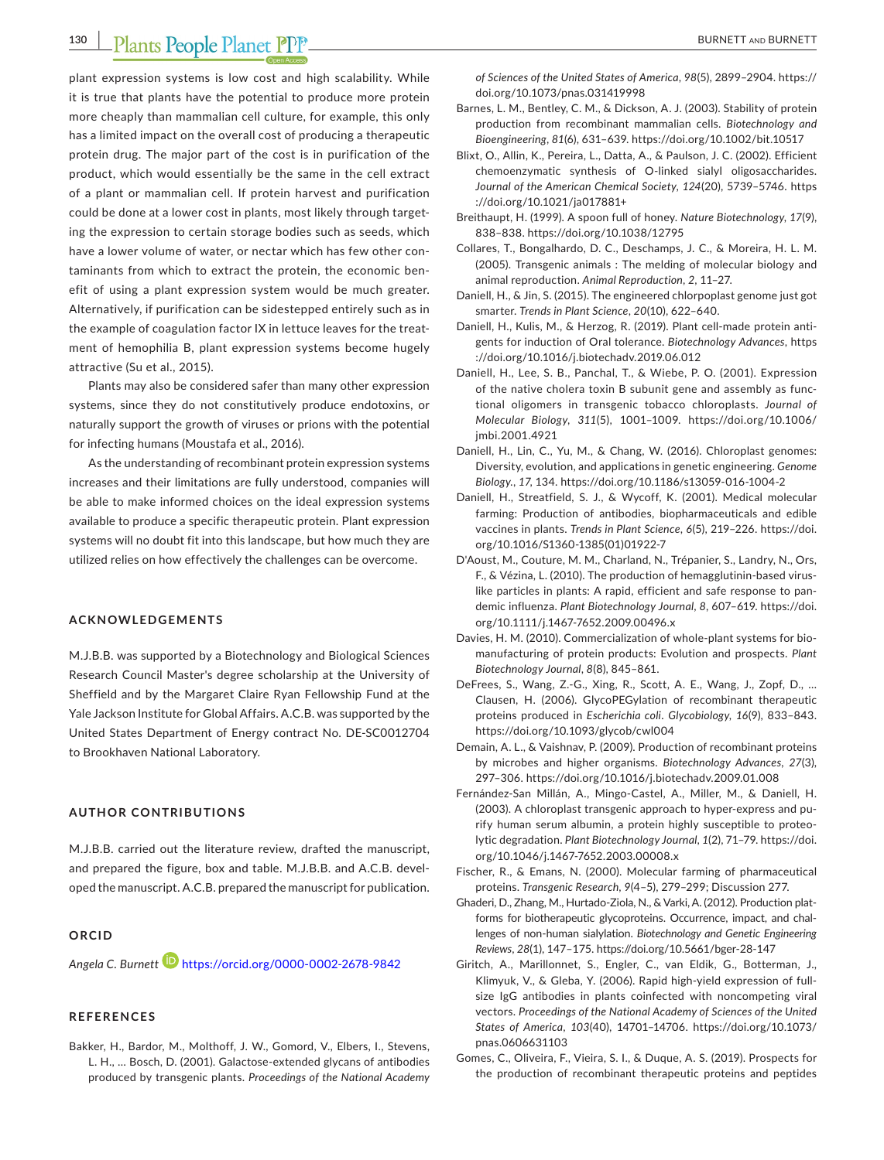## **130 |**  BURNETT and BURNETT

plant expression systems is low cost and high scalability. While it is true that plants have the potential to produce more protein more cheaply than mammalian cell culture, for example, this only has a limited impact on the overall cost of producing a therapeutic protein drug. The major part of the cost is in purification of the product, which would essentially be the same in the cell extract of a plant or mammalian cell. If protein harvest and purification could be done at a lower cost in plants, most likely through target‐ ing the expression to certain storage bodies such as seeds, which have a lower volume of water, or nectar which has few other contaminants from which to extract the protein, the economic ben‐ efit of using a plant expression system would be much greater. Alternatively, if purification can be sidestepped entirely such as in the example of coagulation factor IX in lettuce leaves for the treatment of hemophilia B, plant expression systems become hugely attractive (Su et al., 2015).

Plants may also be considered safer than many other expression systems, since they do not constitutively produce endotoxins, or naturally support the growth of viruses or prions with the potential for infecting humans (Moustafa et al., 2016).

As the understanding of recombinant protein expression systems increases and their limitations are fully understood, companies will be able to make informed choices on the ideal expression systems available to produce a specific therapeutic protein. Plant expression systems will no doubt fit into this landscape, but how much they are utilized relies on how effectively the challenges can be overcome.

#### **ACKNOWLEDGEMENTS**

M.J.B.B. was supported by a Biotechnology and Biological Sciences Research Council Master's degree scholarship at the University of Sheffield and by the Margaret Claire Ryan Fellowship Fund at the Yale Jackson Institute for Global Affairs. A.C.B. was supported by the United States Department of Energy contract No. DE‐SC0012704 to Brookhaven National Laboratory.

#### **AUTHOR CONTRIBUTIONS**

M.J.B.B. carried out the literature review, drafted the manuscript, and prepared the figure, box and table. M.J.B.B. and A.C.B. devel‐ oped the manuscript. A.C.B. prepared the manuscript for publication.

#### **ORCID**

*Angela C. Burnett* <https://orcid.org/0000-0002-2678-9842>

#### **REFERENCES**

Bakker, H., Bardor, M., Molthoff, J. W., Gomord, V., Elbers, I., Stevens, L. H., … Bosch, D. (2001). Galactose‐extended glycans of antibodies produced by transgenic plants. *Proceedings of the National Academy*  *of Sciences of the United States of America*, *98*(5), 2899–2904. [https://](https://doi.org/10.1073/pnas.031419998) [doi.org/10.1073/pnas.031419998](https://doi.org/10.1073/pnas.031419998)

- Barnes, L. M., Bentley, C. M., & Dickson, A. J. (2003). Stability of protein production from recombinant mammalian cells. *Biotechnology and Bioengineering*, *81*(6), 631–639. <https://doi.org/10.1002/bit.10517>
- Blixt, O., Allin, K., Pereira, L., Datta, A., & Paulson, J. C. (2002). Efficient chemoenzymatic synthesis of O‐linked sialyl oligosaccharides. *Journal of the American Chemical Society*, *124*(20), 5739–5746. [https](https://doi.org/10.1021/ja017881+) [://doi.org/10.1021/ja017881+](https://doi.org/10.1021/ja017881+)
- Breithaupt, H. (1999). A spoon full of honey. *Nature Biotechnology*, *17*(9), 838–838. <https://doi.org/10.1038/12795>
- Collares, T., Bongalhardo, D. C., Deschamps, J. C., & Moreira, H. L. M. (2005). Transgenic animals : The melding of molecular biology and animal reproduction. *Animal Reproduction*, *2*, 11–27.
- Daniell, H., & Jin, S. (2015). The engineered chlorpoplast genome just got smarter. *Trends in Plant Science*, *20*(10), 622–640.
- Daniell, H., Kulis, M., & Herzog, R. (2019). Plant cell-made protein antigents for induction of Oral tolerance. *Biotechnology Advances*, [https](https://doi.org/10.1016/j.biotechadv.2019.06.012) [://doi.org/10.1016/j.biotechadv.2019.06.012](https://doi.org/10.1016/j.biotechadv.2019.06.012)
- Daniell, H., Lee, S. B., Panchal, T., & Wiebe, P. O. (2001). Expression of the native cholera toxin B subunit gene and assembly as func‐ tional oligomers in transgenic tobacco chloroplasts. *Journal of Molecular Biology*, *311*(5), 1001–1009. [https://doi.org/10.1006/](https://doi.org/10.1006/jmbi.2001.4921) [jmbi.2001.4921](https://doi.org/10.1006/jmbi.2001.4921)
- Daniell, H., Lin, C., Yu, M., & Chang, W. (2016). Chloroplast genomes: Diversity, evolution, and applications in genetic engineering. *Genome Biology.*, *17*, 134. <https://doi.org/10.1186/s13059-016-1004-2>
- Daniell, H., Streatfield, S. J., & Wycoff, K. (2001). Medical molecular farming: Production of antibodies, biopharmaceuticals and edible vaccines in plants. *Trends in Plant Science*, *6*(5), 219–226. [https://doi.](https://doi.org/10.1016/S1360-1385(01)01922-7) [org/10.1016/S1360-1385\(01\)01922-7](https://doi.org/10.1016/S1360-1385(01)01922-7)
- D'Aoust, M., Couture, M. M., Charland, N., Trépanier, S., Landry, N., Ors, F., & Vézina, L. (2010). The production of hemagglutinin‐based virus‐ like particles in plants: A rapid, efficient and safe response to pan‐ demic influenza. *Plant Biotechnology Journal*, *8*, 607–619. [https://doi.](https://doi.org/10.1111/j.1467-7652.2009.00496.x) [org/10.1111/j.1467-7652.2009.00496.x](https://doi.org/10.1111/j.1467-7652.2009.00496.x)
- Davies, H. M. (2010). Commercialization of whole-plant systems for biomanufacturing of protein products: Evolution and prospects. *Plant Biotechnology Journal*, *8*(8), 845–861.
- DeFrees, S., Wang, Z.‐G., Xing, R., Scott, A. E., Wang, J., Zopf, D., … Clausen, H. (2006). GlycoPEGylation of recombinant therapeutic proteins produced in *Escherichia coli*. *Glycobiology*, *16*(9), 833–843. <https://doi.org/10.1093/glycob/cwl004>
- Demain, A. L., & Vaishnav, P. (2009). Production of recombinant proteins by microbes and higher organisms. *Biotechnology Advances*, *27*(3), 297–306. <https://doi.org/10.1016/j.biotechadv.2009.01.008>
- Fernández‐San Millán, A., Mingo‐Castel, A., Miller, M., & Daniell, H. (2003). A chloroplast transgenic approach to hyper‐express and pu‐ rify human serum albumin, a protein highly susceptible to proteo‐ lytic degradation. *Plant Biotechnology Journal*, *1*(2), 71–79. [https://doi.](https://doi.org/10.1046/j.1467-7652.2003.00008.x) [org/10.1046/j.1467-7652.2003.00008.x](https://doi.org/10.1046/j.1467-7652.2003.00008.x)
- Fischer, R., & Emans, N. (2000). Molecular farming of pharmaceutical proteins. *Transgenic Research*, *9*(4–5), 279–299; Discussion 277.
- Ghaderi, D., Zhang, M., Hurtado-Ziola, N., & Varki, A. (2012). Production platforms for biotherapeutic glycoproteins. Occurrence, impact, and chal‐ lenges of non‐human sialylation. *Biotechnology and Genetic Engineering Reviews*, *28*(1), 147–175. <https://doi.org/10.5661/bger-28-147>
- Giritch, A., Marillonnet, S., Engler, C., van Eldik, G., Botterman, J., Klimyuk, V., & Gleba, Y. (2006). Rapid high‐yield expression of full‐ size IgG antibodies in plants coinfected with noncompeting viral vectors. *Proceedings of the National Academy of Sciences of the United States of America*, *103*(40), 14701–14706. [https://doi.org/10.1073/](https://doi.org/10.1073/pnas.0606631103) [pnas.0606631103](https://doi.org/10.1073/pnas.0606631103)
- Gomes, C., Oliveira, F., Vieira, S. I., & Duque, A. S. (2019). Prospects for the production of recombinant therapeutic proteins and peptides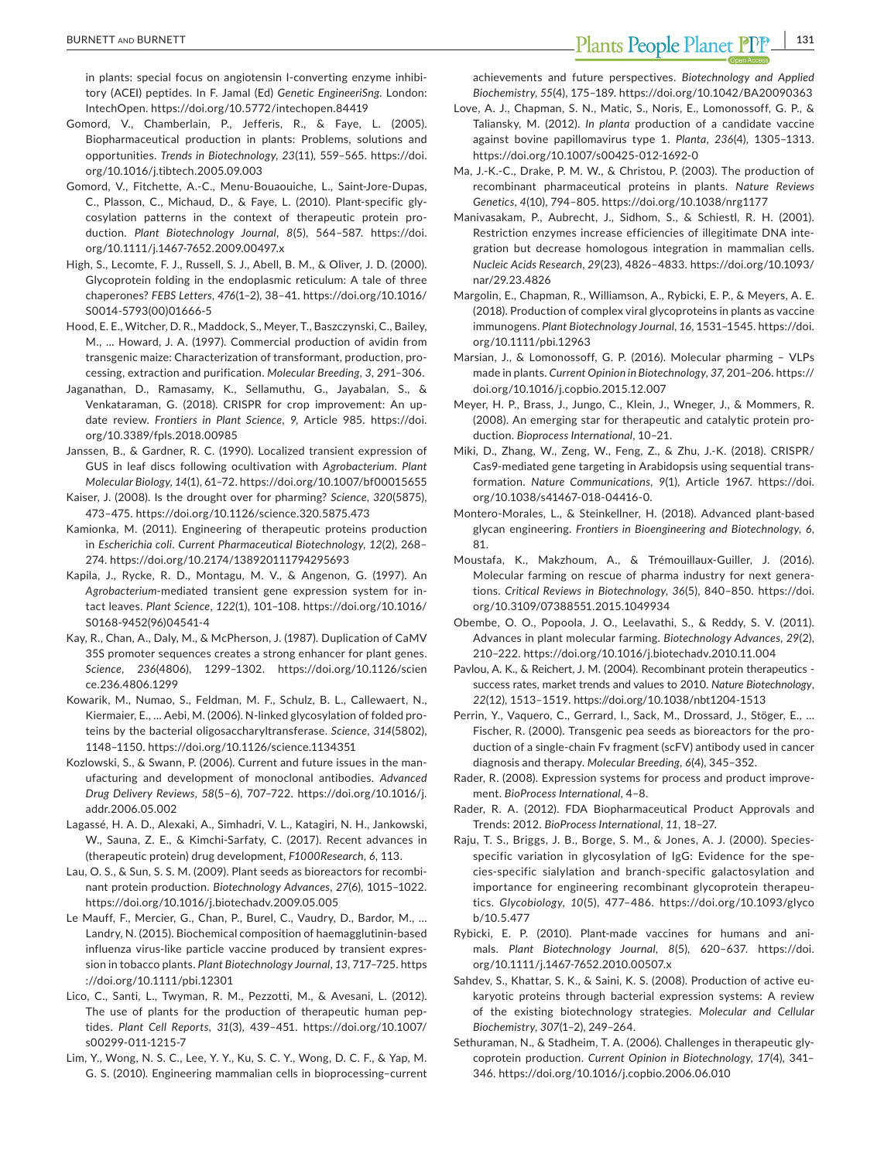in plants: special focus on angiotensin I-converting enzyme inhibitory (ACEI) peptides. In F. Jamal (Ed) *Genetic EngineeriSng*. London: IntechOpen. <https://doi.org/10.5772/intechopen.84419>

- Gomord, V., Chamberlain, P., Jefferis, R., & Faye, L. (2005). Biopharmaceutical production in plants: Problems, solutions and opportunities. *Trends in Biotechnology*, *23*(11), 559–565. [https://doi.](https://doi.org/10.1016/j.tibtech.2005.09.003) [org/10.1016/j.tibtech.2005.09.003](https://doi.org/10.1016/j.tibtech.2005.09.003)
- Gomord, V., Fitchette, A.‐C., Menu‐Bouaouiche, L., Saint‐Jore‐Dupas, C., Plasson, C., Michaud, D., & Faye, L. (2010). Plant‐specific gly‐ cosylation patterns in the context of therapeutic protein pro‐ duction. *Plant Biotechnology Journal*, *8*(5), 564–587. [https://doi.](https://doi.org/10.1111/j.1467-7652.2009.00497.x) [org/10.1111/j.1467-7652.2009.00497.x](https://doi.org/10.1111/j.1467-7652.2009.00497.x)
- High, S., Lecomte, F. J., Russell, S. J., Abell, B. M., & Oliver, J. D. (2000). Glycoprotein folding in the endoplasmic reticulum: A tale of three chaperones? *FEBS Letters*, *476*(1–2), 38–41. [https://doi.org/10.1016/](https://doi.org/10.1016/S0014-5793(00)01666-5) [S0014-5793\(00\)01666-5](https://doi.org/10.1016/S0014-5793(00)01666-5)
- Hood, E. E., Witcher, D. R., Maddock, S., Meyer, T., Baszczynski, C., Bailey, M., … Howard, J. A. (1997). Commercial production of avidin from transgenic maize: Characterization of transformant, production, pro‐ cessing, extraction and purification. *Molecular Breeding*, *3*, 291–306.
- Jaganathan, D., Ramasamy, K., Sellamuthu, G., Jayabalan, S., & Venkataraman, G. (2018). CRISPR for crop improvement: An up‐ date review. *Frontiers in Plant Science*, *9*, Article 985. [https://doi.](https://doi.org/10.3389/fpls.2018.00985) [org/10.3389/fpls.2018.00985](https://doi.org/10.3389/fpls.2018.00985)
- Janssen, B., & Gardner, R. C. (1990). Localized transient expression of GUS in leaf discs following ocultivation with *Agrobacterium*. *Plant Molecular Biology*, *14*(1), 61–72. <https://doi.org/10.1007/bf00015655>
- Kaiser, J. (2008). Is the drought over for pharming? *Science*, *320*(5875), 473–475. <https://doi.org/10.1126/science.320.5875.473>
- Kamionka, M. (2011). Engineering of therapeutic proteins production in *Escherichia coli*. *Current Pharmaceutical Biotechnology*, *12*(2), 268– 274. <https://doi.org/10.2174/138920111794295693>
- Kapila, J., Rycke, R. D., Montagu, M. V., & Angenon, G. (1997). An *Agrobacterium*‐mediated transient gene expression system for in‐ tact leaves. *Plant Science*, *122*(1), 101–108. [https://doi.org/10.1016/](https://doi.org/10.1016/S0168-9452(96)04541-4) [S0168-9452\(96\)04541-4](https://doi.org/10.1016/S0168-9452(96)04541-4)
- Kay, R., Chan, A., Daly, M., & McPherson, J. (1987). Duplication of CaMV 35S promoter sequences creates a strong enhancer for plant genes. *Science*, *236*(4806), 1299–1302. [https://doi.org/10.1126/scien](https://doi.org/10.1126/science.236.4806.1299) [ce.236.4806.1299](https://doi.org/10.1126/science.236.4806.1299)
- Kowarik, M., Numao, S., Feldman, M. F., Schulz, B. L., Callewaert, N., Kiermaier, E., … Aebi, M. (2006). N‐linked glycosylation of folded pro‐ teins by the bacterial oligosaccharyltransferase. *Science*, *314*(5802), 1148–1150. <https://doi.org/10.1126/science.1134351>
- Kozlowski, S., & Swann, P. (2006). Current and future issues in the man‐ ufacturing and development of monoclonal antibodies. *Advanced Drug Delivery Reviews*, *58*(5–6), 707–722. [https://doi.org/10.1016/j.](https://doi.org/10.1016/j.addr.2006.05.002) [addr.2006.05.002](https://doi.org/10.1016/j.addr.2006.05.002)
- Lagassé, H. A. D., Alexaki, A., Simhadri, V. L., Katagiri, N. H., Jankowski, W., Sauna, Z. E., & Kimchi‐Sarfaty, C. (2017). Recent advances in (therapeutic protein) drug development, *F1000Research*, *6*, 113.
- Lau, O. S., & Sun, S. S. M. (2009). Plant seeds as bioreactors for recombinant protein production. *Biotechnology Advances*, *27*(6), 1015–1022. <https://doi.org/10.1016/j.biotechadv.2009.05.005>
- Le Mauff, F., Mercier, G., Chan, P., Burel, C., Vaudry, D., Bardor, M., … Landry, N. (2015). Biochemical composition of haemagglutinin‐based influenza virus‐like particle vaccine produced by transient expres‐ sion in tobacco plants. *Plant Biotechnology Journal*, *13*, 717–725. [https](https://doi.org/10.1111/pbi.12301) [://doi.org/10.1111/pbi.12301](https://doi.org/10.1111/pbi.12301)
- Lico, C., Santi, L., Twyman, R. M., Pezzotti, M., & Avesani, L. (2012). The use of plants for the production of therapeutic human pep‐ tides. *Plant Cell Reports*, *31*(3), 439–451. [https://doi.org/10.1007/](https://doi.org/10.1007/s00299-011-1215-7) [s00299-011-1215-7](https://doi.org/10.1007/s00299-011-1215-7)
- Lim, Y., Wong, N. S. C., Lee, Y. Y., Ku, S. C. Y., Wong, D. C. F., & Yap, M. G. S. (2010). Engineering mammalian cells in bioprocessing–current

achievements and future perspectives. *Biotechnology and Applied Biochemistry*, *55*(4), 175–189. <https://doi.org/10.1042/BA20090363>

- Love, A. J., Chapman, S. N., Matic, S., Noris, E., Lomonossoff, G. P., & Taliansky, M. (2012). *In planta* production of a candidate vaccine against bovine papillomavirus type 1. *Planta*, *236*(4), 1305–1313. <https://doi.org/10.1007/s00425-012-1692-0>
- Ma, J.‐K.‐C., Drake, P. M. W., & Christou, P. (2003). The production of recombinant pharmaceutical proteins in plants. *Nature Reviews Genetics*, *4*(10), 794–805. <https://doi.org/10.1038/nrg1177>
- Manivasakam, P., Aubrecht, J., Sidhom, S., & Schiestl, R. H. (2001). Restriction enzymes increase efficiencies of illegitimate DNA inte‐ gration but decrease homologous integration in mammalian cells. *Nucleic Acids Research*, *29*(23), 4826–4833. [https://doi.org/10.1093/](https://doi.org/10.1093/nar/29.23.4826) [nar/29.23.4826](https://doi.org/10.1093/nar/29.23.4826)
- Margolin, E., Chapman, R., Williamson, A., Rybicki, E. P., & Meyers, A. E. (2018). Production of complex viral glycoproteins in plants as vaccine immunogens. *Plant Biotechnology Journal*, *16*, 1531–1545. [https://doi.](https://doi.org/10.1111/pbi.12963) [org/10.1111/pbi.12963](https://doi.org/10.1111/pbi.12963)
- Marsian, J., & Lomonossoff, G. P. (2016). Molecular pharming VLPs made in plants. *Current Opinion in Biotechnology*, *37*, 201–206. [https://](https://doi.org/10.1016/j.copbio.2015.12.007) [doi.org/10.1016/j.copbio.2015.12.007](https://doi.org/10.1016/j.copbio.2015.12.007)
- Meyer, H. P., Brass, J., Jungo, C., Klein, J., Wneger, J., & Mommers, R. (2008). An emerging star for therapeutic and catalytic protein pro‐ duction. *Bioprocess International*, 10–21.
- Miki, D., Zhang, W., Zeng, W., Feng, Z., & Zhu, J.‐K. (2018). CRISPR/ Cas9‐mediated gene targeting in Arabidopsis using sequential trans‐ formation. *Nature Communications*, *9*(1), Article 1967. [https://doi.](https://doi.org/10.1038/s41467-018-04416-0) [org/10.1038/s41467-018-04416-0.](https://doi.org/10.1038/s41467-018-04416-0)
- Montero‐Morales, L., & Steinkellner, H. (2018). Advanced plant‐based glycan engineering. *Frontiers in Bioengineering and Biotechnology*, *6*, 81.
- Moustafa, K., Makzhoum, A., & Trémouillaux‐Guiller, J. (2016). Molecular farming on rescue of pharma industry for next genera‐ tions. *Critical Reviews in Biotechnology*, *36*(5), 840–850. [https://doi.](https://doi.org/10.3109/07388551.2015.1049934) [org/10.3109/07388551.2015.1049934](https://doi.org/10.3109/07388551.2015.1049934)
- Obembe, O. O., Popoola, J. O., Leelavathi, S., & Reddy, S. V. (2011). Advances in plant molecular farming. *Biotechnology Advances*, *29*(2), 210–222. <https://doi.org/10.1016/j.biotechadv.2010.11.004>
- Pavlou, A. K., & Reichert, J. M. (2004). Recombinant protein therapeutics ‐ success rates, market trends and values to 2010. *Nature Biotechnology*, *22*(12), 1513–1519. <https://doi.org/10.1038/nbt1204-1513>
- Perrin, Y., Vaquero, C., Gerrard, I., Sack, M., Drossard, J., Stöger, E., … Fischer, R. (2000). Transgenic pea seeds as bioreactors for the pro‐ duction of a single‐chain Fv fragment (scFV) antibody used in cancer diagnosis and therapy. *Molecular Breeding*, *6*(4), 345–352.
- Rader, R. (2008). Expression systems for process and product improve‐ ment. *BioProcess International*, 4–8.
- Rader, R. A. (2012). FDA Biopharmaceutical Product Approvals and Trends: 2012. *BioProcess International*, *11*, 18–27.
- Raju, T. S., Briggs, J. B., Borge, S. M., & Jones, A. J. (2000). Species‐ specific variation in glycosylation of IgG: Evidence for the spe‐ cies‐specific sialylation and branch‐specific galactosylation and importance for engineering recombinant glycoprotein therapeu‐ tics. *Glycobiology*, *10*(5), 477–486. [https://doi.org/10.1093/glyco](https://doi.org/10.1093/glycob/10.5.477) [b/10.5.477](https://doi.org/10.1093/glycob/10.5.477)
- Rybicki, E. P. (2010). Plant‐made vaccines for humans and ani‐ mals. *Plant Biotechnology Journal*, *8*(5), 620–637. [https://doi.](https://doi.org/10.1111/j.1467-7652.2010.00507.x) [org/10.1111/j.1467-7652.2010.00507.x](https://doi.org/10.1111/j.1467-7652.2010.00507.x)
- Sahdev, S., Khattar, S. K., & Saini, K. S. (2008). Production of active eu‐ karyotic proteins through bacterial expression systems: A review of the existing biotechnology strategies. *Molecular and Cellular Biochemistry*, *307*(1–2), 249–264.
- Sethuraman, N., & Stadheim, T. A. (2006). Challenges in therapeutic gly‐ coprotein production. *Current Opinion in Biotechnology*, *17*(4), 341– 346. <https://doi.org/10.1016/j.copbio.2006.06.010>